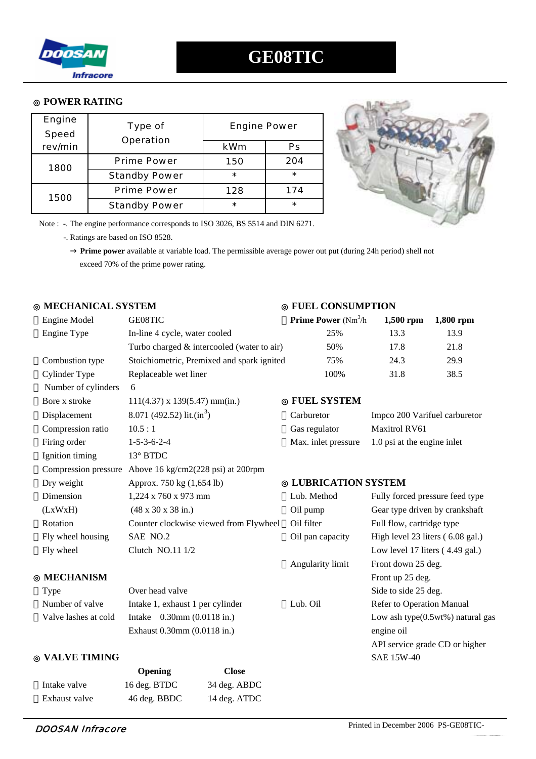

#### **POWER RATING**

| <b>Engine</b> | <b>Type of</b><br><b>Operation</b> | <b>Engine Power</b> |         |
|---------------|------------------------------------|---------------------|---------|
| <b>Speed</b>  |                                    |                     |         |
| rev/min       |                                    | <b>kWm</b>          | Ps      |
| 1800          | <b>Prime Power</b>                 | 150                 | 204     |
|               | <b>Standby Power</b>               | $\star$             | $\star$ |
| 1500          | <b>Prime Power</b>                 | 128                 | 174     |
|               | <b>Standby Power</b>               | $\star$             | $\star$ |



Note : -. The engine performance corresponds to ISO 3026, BS 5514 and DIN 6271.

-. Ratings are based on ISO 8528.

 **Prime power** available at variable load. The permissible average power out put (during 24h period) shell not exceed 70% of the prime power rating.

### ◎ **MECHANICAL SYSTEM** ◎ **FUEL CONSUMPTION**

| <b>Engine Model</b>  | GE08TIC                                                 | <b>Prime Power</b> ( $Nm^3/h$ ) | $1,500$ rpm                      | 1,800 rpm                        |
|----------------------|---------------------------------------------------------|---------------------------------|----------------------------------|----------------------------------|
| Engine Type          | In-line 4 cycle, water cooled                           | 25%                             | 13.3                             | 13.9                             |
|                      | Turbo charged & intercooled (water to air)              | 50%                             | 17.8                             | 21.8                             |
| Combustion type      | Stoichiometric, Premixed and spark ignited              | 75%                             | 24.3                             | 29.9                             |
| Cylinder Type        | Replaceable wet liner                                   | 100%                            | 31.8                             | 38.5                             |
| Number of cylinders  | 6                                                       |                                 |                                  |                                  |
| Bore x stroke        | $111(4.37)$ x $139(5.47)$ mm(in.)                       | <b>FUEL SYSTEM</b>              |                                  |                                  |
| Displacement         | 8.071 (492.52) lit.(in <sup>3</sup> )                   | Carburetor                      | Impco 200 Varifuel carburetor    |                                  |
| Compression ratio    | 10.5:1                                                  | Gas regulator                   | <b>Maxitrol RV61</b>             |                                  |
| Firing order         | $1 - 5 - 3 - 6 - 2 - 4$                                 | Max. inlet pressure             | 1.0 psi at the engine inlet      |                                  |
| Ignition timing      | 13° BTDC                                                |                                 |                                  |                                  |
|                      | Compression pressure Above 16 kg/cm2(228 psi) at 200rpm |                                 |                                  |                                  |
| Dry weight           | Approx. 750 kg (1,654 lb)                               | <b>LUBRICATION SYSTEM</b>       |                                  |                                  |
| Dimension            | 1,224 x 760 x 973 mm                                    | Lub. Method                     | Fully forced pressure feed type  |                                  |
| (LxWxH)              | $(48 \times 30 \times 38 \text{ in.})$                  | Oil pump                        | Gear type driven by crankshaft   |                                  |
| Rotation             | Counter clockwise viewed from Flywheel                  | Oil filter                      | Full flow, cartridge type        |                                  |
| Fly wheel housing    | SAE NO.2                                                | Oil pan capacity                | High level 23 liters (6.08 gal.) |                                  |
| Fly wheel            | Clutch NO.11 1/2                                        |                                 | Low level 17 liters (4.49 gal.)  |                                  |
|                      |                                                         | Angularity limit                | Front down 25 deg.               |                                  |
| <b>MECHANISM</b>     |                                                         |                                 | Front up 25 deg.                 |                                  |
| Type                 | Over head valve                                         |                                 | Side to side 25 deg.             |                                  |
| Number of valve      | Intake 1, exhaust 1 per cylinder                        | Lub. Oil                        | Refer to Operation Manual        |                                  |
| Valve lashes at cold | Intake 0.30mm (0.0118 in.)                              |                                 |                                  | Low ash type(0.5wt%) natural gas |
|                      | Exhaust 0.30mm (0.0118 in.)                             |                                 | engine oil                       |                                  |
|                      |                                                         |                                 | API service grade CD or higher   |                                  |
| <b>VALVE TIMING</b>  |                                                         |                                 | <b>SAE 15W-40</b>                |                                  |

|               | <b>Opening</b> | <b>Close</b> |
|---------------|----------------|--------------|
| Intake valve  | 16 deg. BTDC   | 34 deg. ABDC |
| Exhaust valve | 46 deg. BBDC   | 14 deg. ATDC |